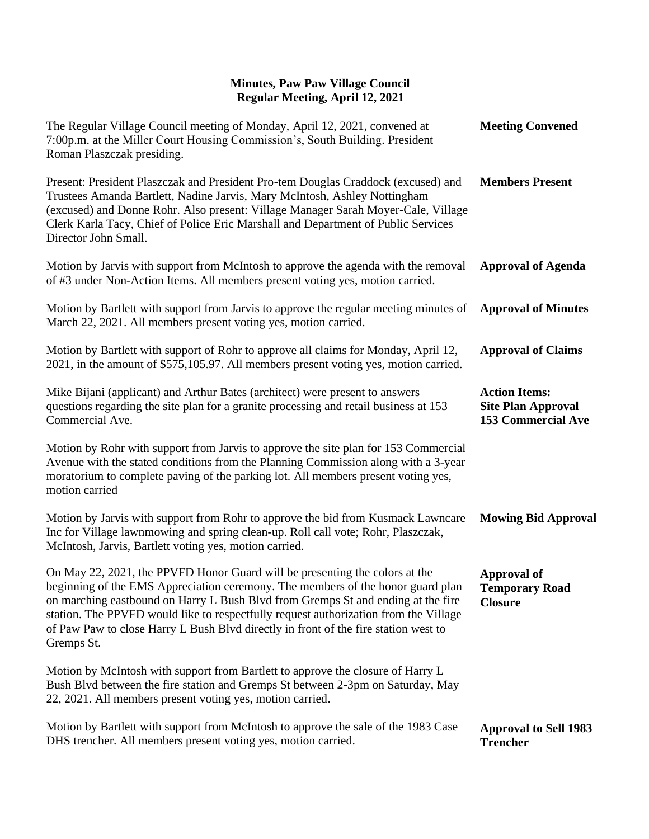| The Regular Village Council meeting of Monday, April 12, 2021, convened at<br>7:00p.m. at the Miller Court Housing Commission's, South Building. President<br>Roman Plaszczak presiding.                                                                                                                                                                                                                                                        | <b>Meeting Convened</b>                                                        |
|-------------------------------------------------------------------------------------------------------------------------------------------------------------------------------------------------------------------------------------------------------------------------------------------------------------------------------------------------------------------------------------------------------------------------------------------------|--------------------------------------------------------------------------------|
| Present: President Plaszczak and President Pro-tem Douglas Craddock (excused) and<br>Trustees Amanda Bartlett, Nadine Jarvis, Mary McIntosh, Ashley Nottingham<br>(excused) and Donne Rohr. Also present: Village Manager Sarah Moyer-Cale, Village<br>Clerk Karla Tacy, Chief of Police Eric Marshall and Department of Public Services<br>Director John Small.                                                                                | <b>Members Present</b>                                                         |
| Motion by Jarvis with support from McIntosh to approve the agenda with the removal<br>of #3 under Non-Action Items. All members present voting yes, motion carried.                                                                                                                                                                                                                                                                             | <b>Approval of Agenda</b>                                                      |
| Motion by Bartlett with support from Jarvis to approve the regular meeting minutes of<br>March 22, 2021. All members present voting yes, motion carried.                                                                                                                                                                                                                                                                                        | <b>Approval of Minutes</b>                                                     |
| Motion by Bartlett with support of Rohr to approve all claims for Monday, April 12,<br>2021, in the amount of \$575,105.97. All members present voting yes, motion carried.                                                                                                                                                                                                                                                                     | <b>Approval of Claims</b>                                                      |
| Mike Bijani (applicant) and Arthur Bates (architect) were present to answers<br>questions regarding the site plan for a granite processing and retail business at 153<br>Commercial Ave.                                                                                                                                                                                                                                                        | <b>Action Items:</b><br><b>Site Plan Approval</b><br><b>153 Commercial Ave</b> |
| Motion by Rohr with support from Jarvis to approve the site plan for 153 Commercial<br>Avenue with the stated conditions from the Planning Commission along with a 3-year<br>moratorium to complete paving of the parking lot. All members present voting yes,<br>motion carried                                                                                                                                                                |                                                                                |
| Motion by Jarvis with support from Rohr to approve the bid from Kusmack Lawncare<br>Inc for Village lawnmowing and spring clean-up. Roll call vote; Rohr, Plaszczak,<br>McIntosh, Jarvis, Bartlett voting yes, motion carried.                                                                                                                                                                                                                  | <b>Mowing Bid Approval</b>                                                     |
| On May 22, 2021, the PPVFD Honor Guard will be presenting the colors at the<br>beginning of the EMS Appreciation ceremony. The members of the honor guard plan<br>on marching eastbound on Harry L Bush Blvd from Gremps St and ending at the fire<br>station. The PPVFD would like to respectfully request authorization from the Village<br>of Paw Paw to close Harry L Bush Blvd directly in front of the fire station west to<br>Gremps St. | <b>Approval of</b><br><b>Temporary Road</b><br><b>Closure</b>                  |
| Motion by McIntosh with support from Bartlett to approve the closure of Harry L<br>Bush Blvd between the fire station and Gremps St between 2-3pm on Saturday, May<br>22, 2021. All members present voting yes, motion carried.                                                                                                                                                                                                                 |                                                                                |
| Motion by Bartlett with support from McIntosh to approve the sale of the 1983 Case<br>DHS trencher. All members present voting yes, motion carried.                                                                                                                                                                                                                                                                                             | <b>Approval to Sell 1983</b><br><b>Trencher</b>                                |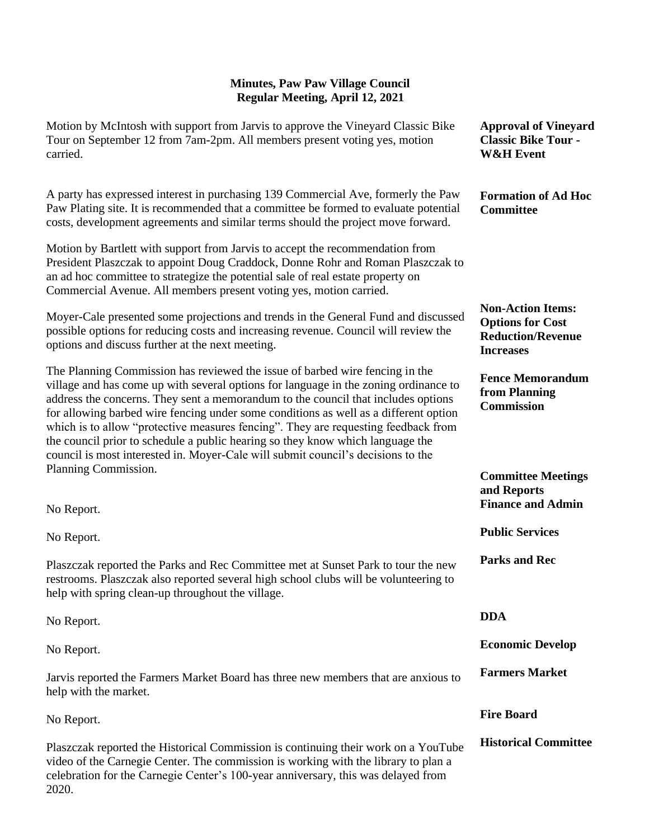| Motion by McIntosh with support from Jarvis to approve the Vineyard Classic Bike<br>Tour on September 12 from 7am-2pm. All members present voting yes, motion<br>carried.                                                                                                                                                                                                                                                                                                                                                                                                                                     | <b>Approval of Vineyard</b><br><b>Classic Bike Tour -</b><br><b>W&amp;H</b> Event                   |
|---------------------------------------------------------------------------------------------------------------------------------------------------------------------------------------------------------------------------------------------------------------------------------------------------------------------------------------------------------------------------------------------------------------------------------------------------------------------------------------------------------------------------------------------------------------------------------------------------------------|-----------------------------------------------------------------------------------------------------|
| A party has expressed interest in purchasing 139 Commercial Ave, formerly the Paw<br>Paw Plating site. It is recommended that a committee be formed to evaluate potential<br>costs, development agreements and similar terms should the project move forward.                                                                                                                                                                                                                                                                                                                                                 | <b>Formation of Ad Hoc</b><br><b>Committee</b>                                                      |
| Motion by Bartlett with support from Jarvis to accept the recommendation from<br>President Plaszczak to appoint Doug Craddock, Donne Rohr and Roman Plaszczak to<br>an ad hoc committee to strategize the potential sale of real estate property on<br>Commercial Avenue. All members present voting yes, motion carried.                                                                                                                                                                                                                                                                                     |                                                                                                     |
| Moyer-Cale presented some projections and trends in the General Fund and discussed<br>possible options for reducing costs and increasing revenue. Council will review the<br>options and discuss further at the next meeting.                                                                                                                                                                                                                                                                                                                                                                                 | <b>Non-Action Items:</b><br><b>Options for Cost</b><br><b>Reduction/Revenue</b><br><b>Increases</b> |
| The Planning Commission has reviewed the issue of barbed wire fencing in the<br>village and has come up with several options for language in the zoning ordinance to<br>address the concerns. They sent a memorandum to the council that includes options<br>for allowing barbed wire fencing under some conditions as well as a different option<br>which is to allow "protective measures fencing". They are requesting feedback from<br>the council prior to schedule a public hearing so they know which language the<br>council is most interested in. Moyer-Cale will submit council's decisions to the | <b>Fence Memorandum</b><br>from Planning<br><b>Commission</b>                                       |
| Planning Commission.<br>No Report.                                                                                                                                                                                                                                                                                                                                                                                                                                                                                                                                                                            | <b>Committee Meetings</b><br>and Reports<br><b>Finance and Admin</b>                                |
| No Report.                                                                                                                                                                                                                                                                                                                                                                                                                                                                                                                                                                                                    | <b>Public Services</b>                                                                              |
| Plaszczak reported the Parks and Rec Committee met at Sunset Park to tour the new<br>restrooms. Plaszczak also reported several high school clubs will be volunteering to<br>help with spring clean-up throughout the village.                                                                                                                                                                                                                                                                                                                                                                                | <b>Parks and Rec</b>                                                                                |
| No Report.                                                                                                                                                                                                                                                                                                                                                                                                                                                                                                                                                                                                    | <b>DDA</b>                                                                                          |
| No Report.                                                                                                                                                                                                                                                                                                                                                                                                                                                                                                                                                                                                    | <b>Economic Develop</b>                                                                             |
| Jarvis reported the Farmers Market Board has three new members that are anxious to<br>help with the market.                                                                                                                                                                                                                                                                                                                                                                                                                                                                                                   | <b>Farmers Market</b>                                                                               |
| No Report.                                                                                                                                                                                                                                                                                                                                                                                                                                                                                                                                                                                                    | <b>Fire Board</b>                                                                                   |
| Plaszczak reported the Historical Commission is continuing their work on a YouTube<br>video of the Carnegie Center. The commission is working with the library to plan a<br>celebration for the Carnegie Center's 100-year anniversary, this was delayed from<br>2020.                                                                                                                                                                                                                                                                                                                                        | <b>Historical Committee</b>                                                                         |